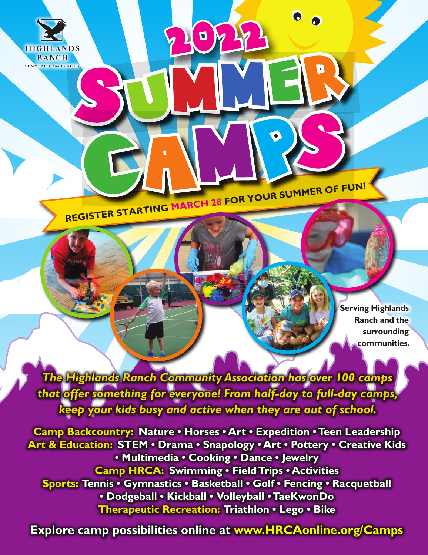

**REGISTER STARTING MARCH 28 FOR YOUR SUMMER OF FUN!**

**Serving Highlands Ranch and the surrounding communities.**

*The Highlands Ranch Community Association has over 100 camps that offer something for everyone! From half-day to full-day camps, keep your kids busy and active when they are out of school.*

**2 0 2 2**

**Camp Backcountry: Nature • Horses • Art • Expedition • Teen Leadership Art & Education: STEM • Drama • Snapology • Art • Pottery • Creative Kids • Multimedia • Cooking • Dance • Jewelry Camp HRCA: Swimming • Field Trips • Activities Sports: Tennis • Gymnastics • Basketball • Golf • Fencing • Racquetball • Dodgeball • Kickball • Volleyball • TaeKwonDo Therapeutic Recreation: Triathlon • Lego • Bike**

**Explore camp possibilities online at www.HRCAonline.org/Camps**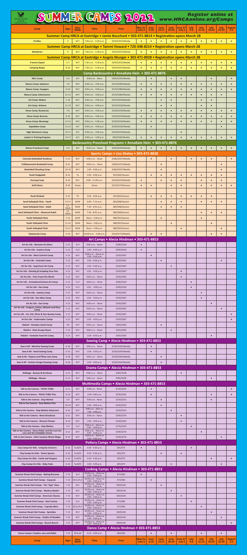| SUMMER CAMPS 2022<br><b>Register online at</b><br>www.HRCAonline.org/Camps                          |                                 |                        |                                                                                          |                                                                                                                  |                          |                        |                        |                          |                        |                 |                        |                        |                          |                          |
|-----------------------------------------------------------------------------------------------------|---------------------------------|------------------------|------------------------------------------------------------------------------------------|------------------------------------------------------------------------------------------------------------------|--------------------------|------------------------|------------------------|--------------------------|------------------------|-----------------|------------------------|------------------------|--------------------------|--------------------------|
| Camp                                                                                                | <b>Ages</b>                     | Day/<br><b>Week</b>    | <b>Time</b>                                                                              | <b>Price</b>                                                                                                     | <b>May 31-</b><br>June 3 | June<br>$6 - 10$       | June<br>$13 - 17$      | <b>June</b><br>$20 - 24$ | June 27<br>- July 1    | July<br>$4 - 8$ | July<br>$11 - 15$      | <b>July</b><br>$18-22$ | <b>July</b><br>$25 - 29$ | <b>August</b><br>$1 - 5$ |
|                                                                                                     |                                 |                        |                                                                                          | Summer Camp HRCA at Eastridge . Jamie Bouchard . 303-471-8814 . Registration opens March 28                      |                          |                        |                        |                          |                        |                 |                        |                        |                          |                          |
| <b>Fireflies</b>                                                                                    | $\overline{3}$                  | $M-F$                  | 7:30 a.m. - 5:30 p.m.                                                                    | \$250/\$325/Weekly<br>Summer Camp HRCA at Eastridge . Tammi Howard . 720-348-8214 . Registration opens March 28  |                          |                        |                        |                          |                        |                 |                        |                        |                          |                          |
| <b>Wanderers</b>                                                                                    | $\overline{4}$                  | $M-F$                  | 7:30 a.m. - 5:30 p.m.                                                                    | \$250/\$325/Weekly<br>Summer Camp HRCA at Eastridge . Angela Munger . 303-471-8928 . Registration opens March 28 | $\bullet$                | $\bullet$              |                        | $\bullet$                | $\bullet$              |                 | $\bullet$              | $\bullet$              |                          |                          |
| <b>S'mores Squad</b>                                                                                | $5 - 7$                         | $M-F$                  | 7:30 a.m. - 5:30 p.m.                                                                    | \$250/\$325/Weekly                                                                                               | $\bullet$                | $\bullet$              | $\bullet$              | $\bullet$                | $\bullet$              |                 | $\bullet$              | $\bullet$              | $\bullet$                | $\bullet$                |
| <b>Camping Ninjas</b>                                                                               | $8 - 10$                        | $M-F$                  | 7:30 a.m. - 5:30 p.m.                                                                    | \$250/\$325/Weekly<br>Camp Backcountry . AnnaKate Hein . 303-471-8876                                            | $\bullet$                | $\bullet$              | $\bullet$              | $\bullet$                | $\bullet$              | $\bullet$       |                        | $\bullet$              |                          |                          |
| <b>Mini Camp</b><br><b>Nature Camp: Explorers</b>                                                   | $5-6$<br>$7 - 8$                | $M-F$<br>$M-F$         | 9:00 a.m. - Noon<br>9:00 a.m. - 4:00 p.m.                                                | \$185/\$195/Weekly<br>\$370/\$380/Weekly                                                                         | $\bullet$                | $\bullet$              | $\bullet$              | $\bullet$<br>$\bullet$   | $\bullet$<br>$\bullet$ | $\bullet$       | $\bullet$              | $\bullet$<br>$\bullet$ | $\bullet$                | $\bullet$                |
| <b>Nature Camp: Voyagers</b>                                                                        | $9 - 10$                        | $M-F$                  | 9:00 a.m. - 4:00 p.m.                                                                    | \$370/\$380/Weekly                                                                                               | $\bullet$                | $\bullet$              | $\bullet$              | $\bullet$                | $\bullet$              | $\bullet$       | $\bullet$              | $\bullet$              | $\bullet$                | $\bullet$                |
| <b>Nature Camp: Adventurers</b><br><b>Art Camp: Makers</b>                                          | $11 - 13$<br>$7 - 10$           | $M-F$<br>$M-F$         | 9:00 a.m. - 4:00 p.m.<br>9:00 a.m. - 4:00 p.m.                                           | \$370/\$380/Weekly<br>\$410/\$420/Weekly                                                                         | $\bullet$                | $\bullet$              | $\bullet$<br>$\bullet$ | $\bullet$<br>$\bullet$   | $\bullet$              | $\bullet$       | $\bullet$<br>$\bullet$ | $\bullet$<br>$\bullet$ | $\bullet$                |                          |
| <b>Art Camp: Artisans</b><br><b>Horse Camp: Buckaroos</b>                                           | $11 - 13$<br>$7 - 8$            | $M-F$<br>$M-F$         | 9:00 a.m. - 4:00 p.m.<br>9:00 a.m. - 4:00 p.m.                                           | \$410/\$420/Weekly<br>\$530/\$550/Weekly                                                                         | $\bullet$                |                        | $\bullet$<br>$\bullet$ | $\bullet$<br>$\bullet$   | $\bullet$              | $\bullet$       | $\bullet$<br>$\bullet$ | $\bullet$<br>$\bullet$ | $\bullet$                | $\bullet$                |
| <b>Horse Camp: Broncos</b>                                                                          | $9 - 10$                        | $M-F$                  | 9:00 a.m. - 4:00 p.m.                                                                    | \$530/\$550/Weekly                                                                                               | $\bullet$                | $\bullet$              | $\bullet$              | $\bullet$                | $\bullet$              | $\bullet$       | $\bullet$              | $\bullet$              | $\bullet$                | $\bullet$                |
| <b>Horse Camp: Mustangs</b><br><b>Expedition Camp</b>                                               | $11 - 13$<br>$11 - 13$          | $M-F$<br>$M-F$         | 9:00 a.m. - 4:00 p.m.<br>9:00 a.m. - 4:00 p.m.                                           | \$530/\$550/Weekly<br>\$530/\$550/Weekly                                                                         | $\bullet$                | $\bullet$<br>$\bullet$ | $\bullet$              | $\bullet$                | $\bullet$              | $\bullet$       | $\bullet$              | $\bullet$              | $\bullet$<br>$\bullet$   | $\bullet$                |
| <b>High Adventure Camp</b><br><b>Leader in Training Program</b>                                     | $14 - 17$<br>$14 - 17$          | $M-F$<br>$M-F$         | 9:00 a.m. - 4:00 p.m.<br>9:00 a.m. - 4:00 p.m.                                           | \$530/\$550/Weekly<br>\$90/\$100/Weekly                                                                          | $\bullet$                |                        |                        | $\bullet$                | $\bullet$<br>$\bullet$ | $\bullet$       | $\bullet$              | $\bullet$              |                          | $\bullet$                |
|                                                                                                     |                                 |                        |                                                                                          | Backcountry Preschool Programs . AnnaKate Hein . 303-471-8876                                                    |                          |                        |                        |                          |                        |                 |                        |                        |                          |                          |
| <b>Nature Preschool Camp</b>                                                                        | $3 - 4$                         | $M-F$                  | 8:30 a.m. - Noon                                                                         | \$220/\$240/Weekly<br>Sports Camps . Lisa Sheley . 303-471-8838                                                  |                          |                        |                        |                          |                        |                 |                        |                        |                          |                          |
| <b>Colorado Basketball Academy</b><br><b>FUNdamentals Basketball Camp</b>                           | $5 - 15$<br>$8 - 12$            | $M-F$<br>$M-F$         | 9:00 a.m. - Noon<br>9:00 a.m. - Noon                                                     | \$180/\$207/Weekly<br>\$180/\$207/Weekly                                                                         |                          | $\bullet$              | $\bullet$              | $\bullet$                |                        | $\bullet$       | $\bullet$              | $\bullet$              | $\bullet$                | $\bullet$                |
| <b>Basketball Shooting Camp</b>                                                                     | $10 - 15$                       | $M-F$                  | $1:00 - 4:00 p.m.$                                                                       | \$180/\$207/Weekly                                                                                               |                          |                        | $\bullet$              |                          |                        |                 |                        |                        |                          |                          |
| <b>Youth Dodgeball</b><br><b>Fencing Camp</b>                                                       | $8 - 13$<br>$8 - 14$            | Tu<br>$M-F$            | $2:00 - 4:00 p.m.$<br>9:00 - 11:30 a.m.                                                  | \$55/\$64/Session<br>\$220/\$253/Weekly                                                                          | $\bullet$                | $\bullet$              | $\bullet$<br>$\bullet$ | $\bullet$<br>$\bullet$   | $\bullet$<br>$\bullet$ | $\bullet$       | $\bullet$<br>$\bullet$ | $\bullet$<br>$\bullet$ | $\bullet$<br>$\bullet$   |                          |
| <b>Golf Clinics</b>                                                                                 | $8 - 16$                        | Varies                 | Varies                                                                                   | \$155/\$179/Session                                                                                              | $\bullet$                | $\bullet$              |                        | $\bullet$                | $\bullet$              |                 | $\bullet$              | $\bullet$              | $\bullet$                | $\bullet$                |
| <b>Youth Kickball</b>                                                                               | $9 - 12$                        | <b>Th</b>              | $2:00 - 4:00 p.m.$                                                                       | \$55/\$64/Session                                                                                                |                          | $\bullet$              | $\bullet$              | $\bullet$                | $\bullet$              | $\bullet$       | $\bullet$              | $\bullet$              |                          |                          |
| <b>Sand Volleyball Clinic - Youth</b><br><b>Sand Volleyball Clinic - Adult</b>                      | $13 - 17$<br>$17 -$             | M/W<br>M/W             | $6:00 - 7:15$ p.m.<br>7:30 - 8:45 p.m.                                                   | \$85/\$98/Session<br>\$85/\$98/Session                                                                           |                          |                        | $\bullet$<br>$\bullet$ | $\bullet$<br>$\bullet$   | $\bullet$<br>$\bullet$ |                 | $\bullet$              | $\bullet$              | $\bullet$                |                          |
| Sand Volleyball Clinic - Advanced Adult                                                             | Adult<br>$17 -$<br><b>Adult</b> | M/W                    | 7:30 - 8:45 p.m.                                                                         | \$85/\$98/Session                                                                                                |                          |                        |                        |                          |                        |                 | $\bullet$              | $\bullet$              | $\bullet$                |                          |
| <b>Youth Volleyball Clinic</b><br><b>Youth Volleyball Clinic</b>                                    | $7 - 12$<br>$11 - 15$           | M/W<br>M/W             | Noon - 2:00 p.m.<br>Noon - 2:00 p.m.                                                     | \$80/\$92/Session<br>\$80/\$92/Session                                                                           |                          |                        | $\bullet$              | $\bullet$                |                        |                 | $\bullet$              | $\bullet$              |                          |                          |
| <b>Youth Volleyball Clinic</b>                                                                      | $13 - 17$                       | M/W                    | Noon - 2:00 p.m.                                                                         | \$80/\$92/Session                                                                                                |                          |                        |                        |                          | $\bullet$              |                 |                        |                        | $\bullet$                |                          |
| <b>Taekwondo Camp</b>                                                                               | $5 - 14$                        | $M-F$                  | 10:00 a.m. - 2:00 p.m.                                                                   | \$150/\$173/Weekly<br>Art Camps . Alecia Hindman . 303-471-8853                                                  |                          | $\bullet$              | $\bullet$              |                          |                        |                 |                        | $\bullet$              | $\bullet$                |                          |
| Art for Life - Monsters & Aliens<br>Art for Life - Jewelry Camp                                     | $5 - 12$<br>$5 - 12$            | Tu-F<br>Tu-F           | 9:00 a.m. - Noon<br>$1:00 - 4:00 p.m.$                                                   | \$200/\$230<br>\$200/\$230                                                                                       | $\bullet$<br>$\bullet$   |                        |                        |                          |                        |                 |                        |                        |                          |                          |
| Art for Life - Most Colorful Camp                                                                   | $5 - 12$                        | $M-F$                  | 9:00 a.m. - Noon or<br>1:00 - 4:00 p.m.                                                  | \$250/\$287                                                                                                      |                          | $\bullet$              |                        |                          |                        |                 |                        |                        |                          |                          |
| Art for Life - Colorado Camp<br>Art for Life - Superhero Art Camp                                   | $5 - 12$<br>$5 - 12$            | $M-F$<br>$M-F$         | $1:00 - 4:00 p.m.$<br>$1:00 - 4:00 p.m.$                                                 | \$250/\$287<br>\$250/\$287                                                                                       |                          |                        | $\bullet$              | $\bullet$                |                        |                 |                        |                        | $\bullet$                |                          |
| Art for Life - Painting & Sculpting Your Pets<br>Art for Life - Time Travel the World               | $5 - 12$<br>$5 - 12$            | $M-F$<br>$M-F$         | $1:00 - 4:00 p.m.$<br>9:00 a.m. - Noon                                                   | \$250/\$287<br>\$250/\$287                                                                                       |                          |                        |                        |                          | $\bullet$<br>$\bullet$ |                 |                        |                        |                          |                          |
| Art for Life - Animation/Cartoon Art Camp                                                           | $5 - 12$                        | $Tu-F$                 | 9:00 a.m. - Noon                                                                         | \$200/\$230                                                                                                      |                          |                        |                        |                          |                        | $\bullet$       |                        |                        |                          |                          |
| Art for Life - Zoo Camp<br>Art for Life - Jewelry Camp                                              | $5 - 12$<br>$5 - 12$            | Tu-F<br>$M-F$          | $1:00 - 4:00 p.m.$<br>9:00 a.m. - Noon                                                   | \$200/\$230<br>\$250/\$287                                                                                       |                          |                        |                        |                          |                        | $\bullet$       | $\bullet$              |                        |                          |                          |
| Art for Life - Star Wars Camp                                                                       | $5 - 12$                        | $M-F$                  | $1:00 - 4:00 p.m.$<br>9:00 a.m. - Noon                                                   | \$250/\$287                                                                                                      |                          |                        |                        |                          |                        |                 |                        |                        |                          |                          |
| Art for Life - Zoo Camp<br>Art for Life - Dragons, Fairies, Wizards and Elves<br>Camp               | $5 - 12$<br>$5 - 12$            | $M-F$<br>$M-F$         | 9:00 a.m. - Noon                                                                         | \$250/\$287<br>\$250/\$287                                                                                       |                          |                        |                        |                          |                        |                 |                        | $\bullet$              | $\bullet$                |                          |
| Art for Life - Ick, Sick, Slime & Goo Spooky Camp<br>Art for Life - Underwater Camps                | $5 - 12$<br>$5 - 12$            | $M-F$<br>$M-F$         | 9:00 a.m. - Noon<br>$1:00 - 4:00 p.m.$                                                   | \$250/\$287<br>\$250/\$287                                                                                       |                          |                        |                        |                          |                        |                 |                        |                        |                          | $\bullet$<br>$\bullet$   |
| KidzArt - Paradise Island Camp                                                                      | $4 - 8$                         | $M-F$                  | 9:00 a.m. - Noon                                                                         | \$265/\$305                                                                                                      |                          |                        | $\bullet$              |                          |                        |                 |                        |                        |                          |                          |
| KidzArt - Heist Escape Room<br>KidzArt - Fantastic Food Art Camp                                    | $7 - 13$<br>$5 - 12$            | $M-F$<br>$M-F$         | 9:00 a.m. - Noon<br>$1:00 - 4:00 p.m.$                                                   | \$265/\$305<br>\$265/\$305                                                                                       |                          |                        |                        | $\bullet$                |                        |                 |                        | $\bullet$              |                          |                          |
| Sew-it-All - Machine Sewing Camp                                                                    | $9 - 18$                        | $M-F$                  | 9:00 a.m. - Noon                                                                         | Sewing Camp . Alecia Hindman . 303-471-8853<br>\$230/\$264/Weekly                                                |                          |                        |                        |                          |                        |                 |                        |                        |                          |                          |
| Sew-it-All - Hand Sewing Camp                                                                       | $6 - 15$                        | $M-F$                  | $1:00 - 3:30$ p.m.                                                                       | \$230/\$264/Weekly                                                                                               |                          | $\bullet$              |                        |                          |                        |                 |                        |                        |                          |                          |
| Sew-it-All - Pajama and Pillow Jam Camp<br>Sew-it-All - Fashion Design Drawing Camp                 | $9 - 18$<br>$8 - 18$            | $M-F$<br>$M-F$         | 9:00 a.m. - Noon<br>$1:00 - 4:00 p.m.$                                                   | \$230/\$264/Weekly<br>\$230/\$264/Weekly                                                                         |                          |                        | $\bullet$<br>$\bullet$ |                          |                        |                 |                        |                        |                          |                          |
| KidStage - Beauty & the Beast                                                                       | $6 - 12$                        | $M-F$                  | 9:00 a.m. - Noon                                                                         | Drama Camps . Alecia Hindman . 303-471-8853<br>\$285/\$328                                                       |                          |                        |                        |                          | $\bullet$              |                 |                        |                        |                          |                          |
| KidStage - Moana                                                                                    | $6 - 12$                        | $M-F$                  | 9:00 a.m. - Noon                                                                         | \$285/\$328                                                                                                      |                          |                        |                        |                          |                        |                 |                        | $\bullet$              |                          |                          |
| Talk to the Camera - YOUth TUBEr                                                                    | $6 - 11$                        | $M-F$                  | 9:00 a.m. - Noon                                                                         | Multimedia Camps • Alecia Hindman • 303-471-8853<br>\$230/\$265                                                  |                          |                        |                        |                          |                        |                 |                        |                        |                          |                          |
| Talk to the Camera - YOUth TUBEr Plus<br>Talk to the Camera - Stop Motion                           | $9 - 14$<br>$5-9$               | $M-F$<br>$M-F$         | 1:00 -4:00 p.m.<br>9:00 a.m. - Noon                                                      | \$230/\$265<br>\$220/\$253                                                                                       |                          | $\bullet$              | $\bullet$              |                          |                        |                 |                        | $\bullet$<br>$\bullet$ |                          | $\bullet$                |
| Talk to the Camera - Stop Motion Plus                                                               | $10 - 14$                       | $M-F$                  | $1:00 - 4:00 p.m.$<br>9:00 a.m. - Noon or                                                | \$220/\$253                                                                                                      |                          |                        | $\bullet$              |                          |                        |                 |                        |                        |                          |                          |
| Talk to the Camera - Stop Motion Advanced<br>Talk to the Camera - News Broadcast                    | $9 - 14$<br>$6 - 11$            | $M-F$<br>$M-F$         | $1:00 - 4:00 p.m.$<br>9:00 a.m. - Noon                                                   | \$220/\$253<br>\$240/\$276                                                                                       |                          |                        |                        | $\bullet$                | $\bullet$              |                 |                        |                        |                          |                          |
| Talk to the Camera - Musical Theater<br>Talk to the Camera - Stop Motion                            | $8 - 14$<br>$5-9$               | $M-F$<br>Tu-F          | $1:00 - 4:00 p.m.$<br>9:00 a.m. - Noon or                                                | \$230/\$265<br>\$176/\$202                                                                                       |                          |                        |                        |                          | $\bullet$              | $\bullet$       |                        |                        |                          |                          |
| Talk to the Camera - Harry Potter and the Lost Uni-<br>corn and the Forbidden Forest                | $6 - 12$                        | $M-F$                  | $1:00 - 4:00 p.m.$<br>9:00 a.m. - Noon or<br>$1:00 - 4:00 p.m.$<br>9:00 a.m. - Noon or   | \$240/\$276                                                                                                      |                          |                        |                        |                          |                        |                 |                        |                        |                          |                          |
| Talk to the Camera - Alien Invasion Movie Magic                                                     | $8 - 14$                        | $M-F$                  | $1:00 - 4:00 p.m.$                                                                       | \$240/\$276<br>Pottery Camps . Alecia Hindman . 303-471-8853                                                     |                          |                        |                        |                          |                        |                 |                        |                        |                          |                          |
| <b>Clay Camps for Kids - Uniquely Unicorns</b><br><b>Clay Camps for Kids - Totem Spoons</b>         | $6 - 10$<br>$6 - 10$            | Tu, W, Th<br>Tu, W, Th | $3:30 - 4:30$ p.m.<br>$3:30 - 4:30 p.m.$                                                 | \$65/\$75<br>\$65/\$75                                                                                           | $\bullet$                |                        | $\bullet$              |                          | $\bullet$              | $\bullet$       |                        |                        |                          |                          |
| Clay Camps for Kids - Castle and Dragons                                                            | $6 - 10$                        | Tu, W, Th              | $3:30 - 4:30$ p.m.                                                                       | $$65/$ \$75                                                                                                      |                          |                        |                        |                          |                        |                 |                        | $\bullet$              |                          | $\bullet$                |
| Clay Camps for Kids - Baby Yoda                                                                     | $6 - 10$                        | Tu,W,Th                | $3:30 - 4:30$ p.m.                                                                       | $$65/$ \$75<br>Cooking Camps . Alecia Hindman . 303-471-8853                                                     |                          |                        |                        | $\bullet$                |                        |                 |                        |                        |                          |                          |
| Summer Break Chef Camps - Baking Bonanza<br><b>Summer Break Chef Camps - Copycats</b>               | $7 - 13$<br>$7 - 13$            | Tu-F<br>M,Tu,Th,F      | 10:00 a.m. - Noon or<br>$1:00 - 3:00$ p.m.<br>10:00 a.m. - Noon or                       | \$72/\$83<br>\$72/\$83                                                                                           | $\bullet$                | $\bullet$              |                        |                          |                        |                 |                        |                        |                          |                          |
| Summer Break Chef Camps - The "App" Class                                                           | $7 - 13$                        | $M-F$                  | $1:00 - 3:00$ p.m.<br>10:00 a.m. - Noon or<br>$1:00 - 3:00$ p.m.                         | \$90/\$104                                                                                                       |                          |                        | $\bullet$              |                          |                        |                 |                        |                        |                          |                          |
| Summer Break Chef Camps - Mystery Basket<br><b>Summer Break Chef Camps - American Classics</b>      | $7 - 13$<br>$7 - 13$            | $M-F$<br>$M-F$         | 10:00 a.m. - Noon or<br>$1:00 - 3:00$ p.m.<br>10:00 a.m. - Noon or<br>$1:00 - 3:00$ p.m. | \$90/\$104<br>\$90/\$104                                                                                         |                          |                        |                        | $\bullet$                | $\bullet$              |                 |                        |                        |                          |                          |
| <b>Summer Break Chef Camps - Intel Cuisine</b>                                                      | $7 - 13$                        | Tu-F                   | 10:00 a.m. - Noon or<br>$1:00 - 3:00$ p.m.<br>10:00 a.m. - Noon or                       | \$72/\$83                                                                                                        |                          |                        |                        |                          |                        | $\bullet$       |                        |                        |                          |                          |
| Summer Break Chef Camps - Cupcake Wars<br><b>Summer Break Chef Camps - Sprinkles</b>                | $7 - 13$<br>$7 - 13$            | M,Tu,Th,F<br>$M-F$     | $1:00 - 3:00$ p.m.<br>10:00 a.m. - Noon or<br>1:00 - 3:00 p.m.                           | \$72/\$83<br>\$90/\$104                                                                                          |                          |                        |                        |                          |                        |                 | $\bullet$              | $\bullet$              |                          |                          |
| <b>Summer Break Chef Camps - Oodles of Noodles</b><br><b>Summer Break Chef Camps - Brunch Bunch</b> |                                 |                        |                                                                                          |                                                                                                                  |                          |                        |                        |                          |                        |                 |                        |                        | $\bullet$                |                          |
|                                                                                                     | $7 - 13$<br>$7 - 13$            | $M-F$<br>$M-F$         | 10:00 a.m. - Noon or<br>$1:00 - 3:00$ p.m.<br>10:00 a.m. - Noon or                       | \$90/\$104<br>\$90/\$104                                                                                         |                          |                        |                        |                          |                        |                 |                        |                        |                          | $\bullet$                |
| Dance Camps: Creative, Jazz and Ballet                                                              | $7 - 13$                        | M,Tu,W                 | $1:00 - 3:00$ p.m.<br>$2:15 - 3:30$ p.m.                                                 | Dance Camp . Alecia Hindman . 303-471-8853<br>\$60/\$69                                                          |                          |                        |                        | $\bullet$                |                        |                 | $\bullet$              |                        |                          |                          |